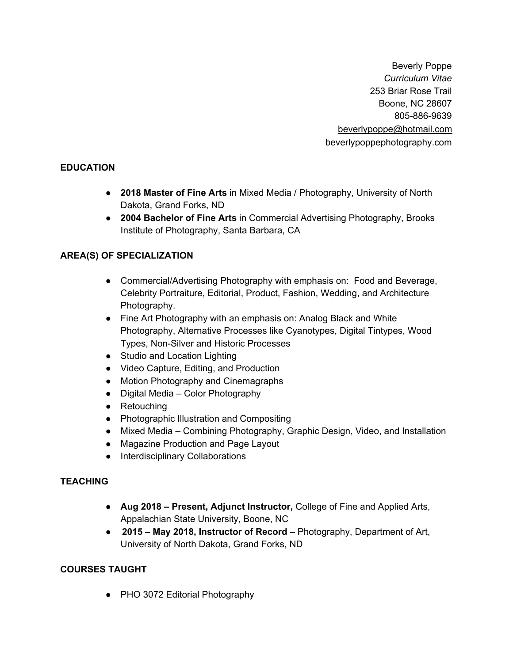Beverly Poppe *Curriculum Vitae* 253 Briar Rose Trail Boone, NC 28607 805-886-9639 beverlypoppe@hotmail.com beverlypoppephotography.com

### **EDUCATION**

- **2018 Master of Fine Arts** in Mixed Media / Photography, University of North Dakota, Grand Forks, ND
- **2004 Bachelor of Fine Arts** in Commercial Advertising Photography, Brooks Institute of Photography, Santa Barbara, CA

### **AREA(S) OF SPECIALIZATION**

- Commercial/Advertising Photography with emphasis on: Food and Beverage, Celebrity Portraiture, Editorial, Product, Fashion, Wedding, and Architecture Photography.
- Fine Art Photography with an emphasis on: Analog Black and White Photography, Alternative Processes like Cyanotypes, Digital Tintypes, Wood Types, Non-Silver and Historic Processes
- Studio and Location Lighting
- Video Capture, Editing, and Production
- Motion Photography and Cinemagraphs
- Digital Media Color Photography
- Retouching
- Photographic Illustration and Compositing
- Mixed Media Combining Photography, Graphic Design, Video, and Installation
- Magazine Production and Page Layout
- Interdisciplinary Collaborations

### **TEACHING**

- **Aug 2018 – Present, Adjunct Instructor,** College of Fine and Applied Arts, Appalachian State University, Boone, NC
- **2015 – May 2018, Instructor of Record** Photography, Department of Art, University of North Dakota, Grand Forks, ND

#### **COURSES TAUGHT**

● PHO 3072 Editorial Photography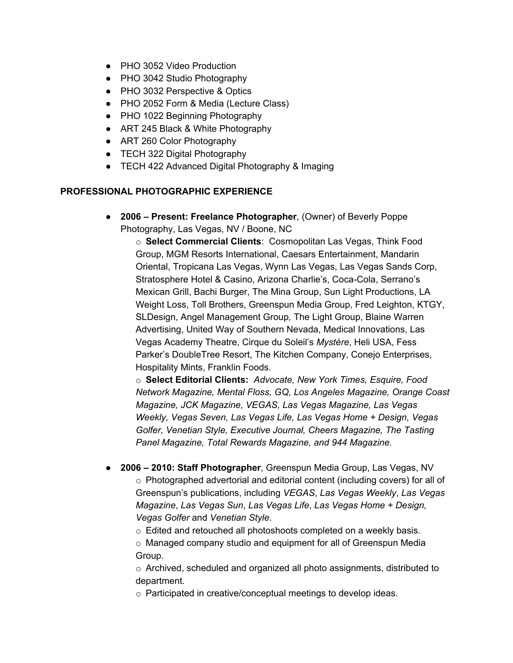- PHO 3052 Video Production
- PHO 3042 Studio Photography
- PHO 3032 Perspective & Optics
- PHO 2052 Form & Media (Lecture Class)
- PHO 1022 Beginning Photography
- ART 245 Black & White Photography
- ART 260 Color Photography
- TECH 322 Digital Photography
- TECH 422 Advanced Digital Photography & Imaging

#### **PROFESSIONAL PHOTOGRAPHIC EXPERIENCE**

● **2006 – Present: Freelance Photographer**, (Owner) of Beverly Poppe Photography, Las Vegas, NV / Boone, NC

o **Select Commercial Clients**: Cosmopolitan Las Vegas, Think Food Group, MGM Resorts International, Caesars Entertainment, Mandarin Oriental, Tropicana Las Vegas, Wynn Las Vegas, Las Vegas Sands Corp, Stratosphere Hotel & Casino, Arizona Charlie's, Coca-Cola, Serrano's Mexican Grill, Bachi Burger, The Mina Group, Sun Light Productions, LA Weight Loss, Toll Brothers, Greenspun Media Group, Fred Leighton, KTGY, SLDesign, Angel Management Group*,* The Light Group, Blaine Warren Advertising, United Way of Southern Nevada, Medical Innovations, Las Vegas Academy Theatre, Cirque du Soleil's *Mystère*, Heli USA, Fess Parker's DoubleTree Resort, The Kitchen Company, Conejo Enterprises, Hospitality Mints, Franklin Foods.

o **Select Editorial Clients:** *Advocate, New York Times, Esquire, Food Network Magazine, Mental Floss, GQ, Los Angeles Magazine, Orange Coast Magazine, JCK Magazine, VEGAS, Las Vegas Magazine, Las Vegas Weekly, Vegas Seven, Las Vegas Life, Las Vegas Home + Design, Vegas Golfer, Venetian Style, Executive Journal, Cheers Magazine, The Tasting Panel Magazine, Total Rewards Magazine, and 944 Magazine.*

- **2006 – 2010: Staff Photographer**, Greenspun Media Group, Las Vegas, NV o Photographed advertorial and editorial content (including covers) for all of Greenspun's publications, including *VEGAS*, *Las Vegas Weekly*, *Las Vegas Magazine*, *Las Vegas Sun*, *Las Vegas Life*, *Las Vegas Home + Design, Vegas Golfer* and *Venetian Style*.
	- o Edited and retouched all photoshoots completed on a weekly basis.
	- o Managed company studio and equipment for all of Greenspun Media Group.

 $\circ$  Archived, scheduled and organized all photo assignments, distributed to department.

o Participated in creative/conceptual meetings to develop ideas.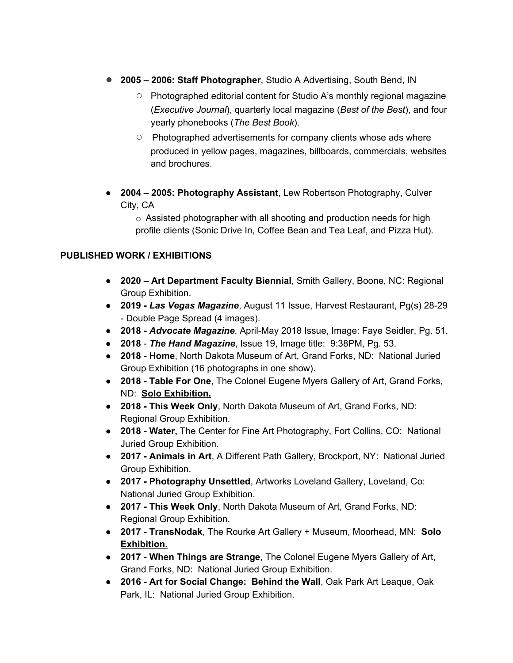- **2005 – 2006: Staff Photographer**, Studio A Advertising, South Bend, IN
	- Photographed editorial content for Studio A's monthly regional magazine (*Executive Journal*), quarterly local magazine (*Best of the Best*), and four yearly phonebooks (*The Best Book*).
	- Photographed advertisements for company clients whose ads where produced in yellow pages, magazines, billboards, commercials, websites and brochures.
- **2004 – 2005: Photography Assistant**, Lew Robertson Photography, Culver City, CA

 $\circ$  Assisted photographer with all shooting and production needs for high profile clients (Sonic Drive In, Coffee Bean and Tea Leaf, and Pizza Hut).

### **PUBLISHED WORK / EXHIBITIONS**

- **2020 – Art Department Faculty Biennial**, Smith Gallery, Boone, NC: Regional Group Exhibition.
- **2019 -** *Las Vegas Magazine*, August 11 Issue, Harvest Restaurant, Pg(s) 28-29 - Double Page Spread (4 images).
- **2018 -** *Advocate Magazine*, April-May 2018 Issue, Image: Faye Seidler, Pg. 51.
- **2018** *The Hand Magazine*, Issue 19, Image title: 9:38PM, Pg. 53.
- **2018 - Home**, North Dakota Museum of Art, Grand Forks, ND: National Juried Group Exhibition (16 photographs in one show).
- **2018 - Table For One**, The Colonel Eugene Myers Gallery of Art, Grand Forks, ND: **Solo Exhibition.**
- **● 2018 - This Week Only**, North Dakota Museum of Art, Grand Forks, ND: Regional Group Exhibition.
- **2018 - Water,** The Center for Fine Art Photography, Fort Collins, CO: National Juried Group Exhibition.
- **2017 - Animals in Art**, A Different Path Gallery, Brockport, NY: National Juried Group Exhibition.
- **2017 - Photography Unsettled**, Artworks Loveland Gallery, Loveland, Co: National Juried Group Exhibition.
- **2017 - This Week Only**, North Dakota Museum of Art, Grand Forks, ND: Regional Group Exhibition.
- **2017 - TransNodak**, The Rourke Art Gallery + Museum, Moorhead, MN: **Solo Exhibition.**
- **2017 - When Things are Strange**, The Colonel Eugene Myers Gallery of Art, Grand Forks, ND: National Juried Group Exhibition.
- **2016 - Art for Social Change: Behind the Wall**, Oak Park Art Leaque, Oak Park, IL: National Juried Group Exhibition.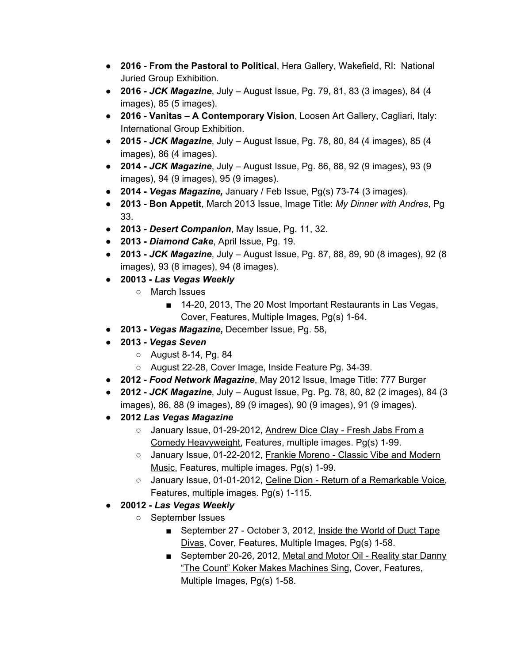- **2016 - From the Pastoral to Political**, Hera Gallery, Wakefield, RI: National Juried Group Exhibition.
- **2016 -** *JCK Magazine*, July August Issue, Pg. 79, 81, 83 (3 images), 84 (4 images), 85 (5 images).
- **2016 - Vanitas – A Contemporary Vision**, Loosen Art Gallery, Cagliari, Italy: International Group Exhibition.
- **2015 -** *JCK Magazine*, July August Issue, Pg. 78, 80, 84 (4 images), 85 (4 images), 86 (4 images).
- **2014 -** *JCK Magazine*, July August Issue, Pg. 86, 88, 92 (9 images), 93 (9 images), 94 (9 images), 95 (9 images).
- **2014 -** *Vegas Magazine,* January / Feb Issue, Pg(s) 73-74 (3 images).
- **2013 - Bon Appetit**, March 2013 Issue, Image Title: *My Dinner with Andres*, Pg 33.
- **2013 -** *Desert Companion*, May Issue, Pg. 11, 32.
- **2013 -** *Diamond Cake*, April Issue, Pg. 19.
- *●* **2013 -** *JCK Magazine*, July August Issue, Pg. 87, 88, 89, 90 (8 images), 92 (8 images), 93 (8 images), 94 (8 images).
- **20013 -** *Las Vegas Weekly*
	- March Issues
		- 14-20, 2013, The 20 Most Important Restaurants in Las Vegas, Cover, Features, Multiple Images, Pg(s) 1-64.
- **2013 -** *Vegas Magazine***,** December Issue, Pg. 58,
- **2013 -** *Vegas Seven*
	- August 8-14, Pg. 84
	- August 22-28, Cover Image, Inside Feature Pg. 34-39.
- **2012 -** *Food Network Magazine*, May 2012 Issue, Image Title: 777 Burger
- **2012 -** *JCK Magazine*, July August Issue, Pg. Pg. 78, 80, 82 (2 images), 84 (3 images), 86, 88 (9 images), 89 (9 images), 90 (9 images), 91 (9 images).
- **2012** *Las Vegas Magazine*
	- January Issue, 01-29-2012, Andrew Dice Clay Fresh Jabs From a Comedy Heavyweight, Features, multiple images. Pg(s) 1-99.
	- o January Issue, 01-22-2012, Frankie Moreno Classic Vibe and Modern Music, Features, multiple images. Pg(s) 1-99.
	- January Issue, 01-01-2012, Celine Dion Return of a Remarkable Voice, Features, multiple images. Pg(s) 1-115.
- **20012 -** *Las Vegas Weekly*
	- September Issues
		- September 27 October 3, 2012, Inside the World of Duct Tape Divas, Cover, Features, Multiple Images, Pg(s) 1-58.
		- September 20-26, 2012, Metal and Motor Oil Reality star Danny "The Count" Koker Makes Machines Sing, Cover, Features, Multiple Images, Pg(s) 1-58.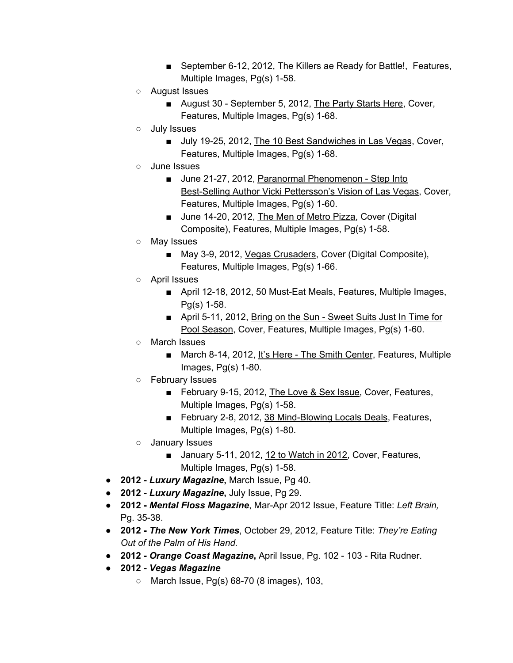- September 6-12, 2012, The Killers ae Ready for Battle!, Features, Multiple Images, Pg(s) 1-58.
- August Issues
	- August 30 September 5, 2012, The Party Starts Here, Cover, Features, Multiple Images, Pg(s) 1-68.
- July Issues
	- July 19-25, 2012, The 10 Best Sandwiches in Las Vegas, Cover, Features, Multiple Images, Pg(s) 1-68.
- June Issues
	- June 21-27, 2012, Paranormal Phenomenon Step Into Best-Selling Author Vicki Pettersson's Vision of Las Vegas, Cover, Features, Multiple Images, Pg(s) 1-60.
	- June 14-20, 2012, The Men of Metro Pizza, Cover (Digital Composite), Features, Multiple Images, Pg(s) 1-58.
- May Issues
	- May 3-9, 2012, Vegas Crusaders, Cover (Digital Composite), Features, Multiple Images, Pg(s) 1-66.
- April Issues
	- April 12-18, 2012, 50 Must-Eat Meals, Features, Multiple Images, Pg(s) 1-58.
	- April 5-11, 2012, Bring on the Sun Sweet Suits Just In Time for Pool Season, Cover, Features, Multiple Images, Pg(s) 1-60.
- March Issues
	- March 8-14, 2012, It's Here The Smith Center, Features, Multiple Images, Pg(s) 1-80.
- February Issues
	- February 9-15, 2012, The Love & Sex Issue, Cover, Features, Multiple Images, Pg(s) 1-58.
	- February 2-8, 2012, 38 Mind-Blowing Locals Deals, Features, Multiple Images, Pg(s) 1-80.
- January Issues
	- January 5-11, 2012, 12 to Watch in 2012, Cover, Features, Multiple Images, Pg(s) 1-58.
- **2012 -** *Luxury Magazine***,** March Issue, Pg 40.
- **2012 -** *Luxury Magazine***,** July Issue, Pg 29.
- **2012 -** *Mental Floss Magazine*, Mar-Apr 2012 Issue, Feature Title: *Left Brain,* Pg. 35-38.
- **2012 -** *The New York Times*, October 29, 2012, Feature Title: *They're Eating Out of the Palm of His Hand.*
- **2012 -** *Orange Coast Magazine***,** April Issue, Pg. 102 103 Rita Rudner.
- **2012 -** *Vegas Magazine*
	- $\circ$  March Issue, Pg(s) 68-70 (8 images), 103,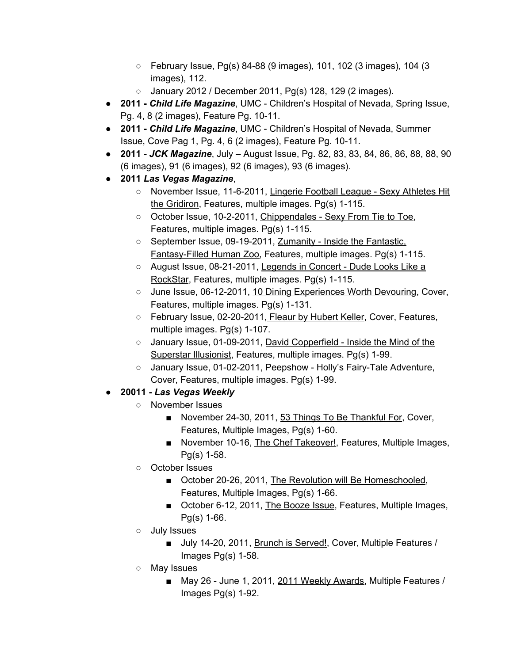- $\circ$  February Issue, Pg(s) 84-88 (9 images), 101, 102 (3 images), 104 (3 images), 112.
- January 2012 / December 2011, Pg(s) 128, 129 (2 images).
- **2011 -** *Child Life Magazine*, UMC Children's Hospital of Nevada, Spring Issue, Pg. 4, 8 (2 images), Feature Pg. 10-11.
- **2011 -** *Child Life Magazine*, UMC Children's Hospital of Nevada, Summer Issue, Cove Pag 1, Pg. 4, 6 (2 images), Feature Pg. 10-11.
- **2011 -** *JCK Magazine*, July August Issue, Pg. 82, 83, 83, 84, 86, 86, 88, 88, 90 (6 images), 91 (6 images), 92 (6 images), 93 (6 images).
- **2011** *Las Vegas Magazine*,
	- November Issue, 11-6-2011, Lingerie Football League Sexy Athletes Hit the Gridiron, Features, multiple images. Pg(s) 1-115.
	- October Issue, 10-2-2011, Chippendales Sexy From Tie to Toe, Features, multiple images. Pg(s) 1-115.
	- September Issue, 09-19-2011, Zumanity Inside the Fantastic, Fantasy-Filled Human Zoo, Features, multiple images. Pg(s) 1-115.
	- August Issue, 08-21-2011, Legends in Concert Dude Looks Like a RockStar, Features, multiple images. Pg(s) 1-115.
	- June Issue, 06-12-2011, 10 Dining Experiences Worth Devouring, Cover, Features, multiple images. Pg(s) 1-131.
	- February Issue, 02-20-2011, Fleaur by Hubert Keller, Cover, Features, multiple images. Pg(s) 1-107.
	- January Issue, 01-09-2011, David Copperfield Inside the Mind of the Superstar Illusionist, Features, multiple images. Pg(s) 1-99.
	- January Issue, 01-02-2011, Peepshow Holly's Fairy-Tale Adventure, Cover, Features, multiple images. Pg(s) 1-99.
- **20011 -** *Las Vegas Weekly*
	- November Issues
		- November 24-30, 2011, 53 Things To Be Thankful For, Cover, Features, Multiple Images, Pg(s) 1-60.
		- November 10-16, The Chef Takeover!, Features, Multiple Images, Pg(s) 1-58.
	- October Issues
		- October 20-26, 2011, The Revolution will Be Homeschooled, Features, Multiple Images, Pg(s) 1-66.
		- October 6-12, 2011, The Booze Issue, Features, Multiple Images, Pg(s) 1-66.
	- July Issues
		- July 14-20, 2011, Brunch is Served!, Cover, Multiple Features / Images Pg(s) 1-58.
	- May Issues
		- May 26 June 1, 2011, 2011 Weekly Awards, Multiple Features / Images Pg(s) 1-92.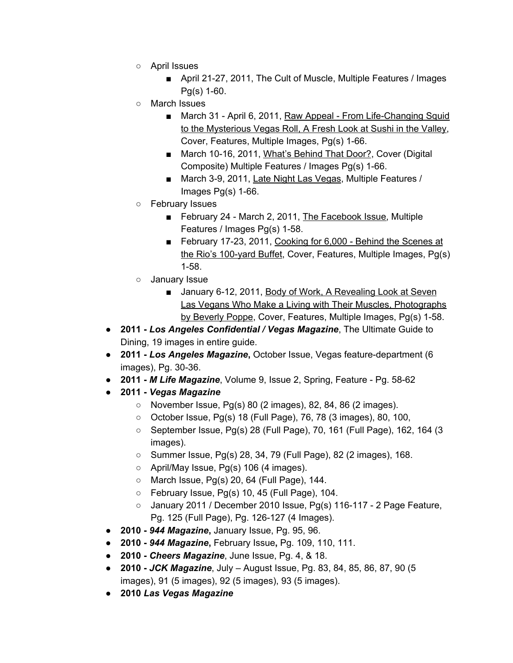- April Issues
	- April 21-27, 2011, The Cult of Muscle, Multiple Features / Images Pg(s) 1-60.
- March Issues
	- March 31 April 6, 2011, Raw Appeal From Life-Changing Squid to the Mysterious Vegas Roll, A Fresh Look at Sushi in the Valley, Cover, Features, Multiple Images, Pg(s) 1-66.
	- March 10-16, 2011, What's Behind That Door?, Cover (Digital Composite) Multiple Features / Images Pg(s) 1-66.
	- March 3-9, 2011, Late Night Las Vegas, Multiple Features / Images Pg(s) 1-66.
- February Issues
	- February 24 March 2, 2011, The Facebook Issue, Multiple Features / Images Pg(s) 1-58.
	- February 17-23, 2011, Cooking for 6,000 Behind the Scenes at the Rio's 100-yard Buffet, Cover, Features, Multiple Images, Pg(s) 1-58.
- January Issue
	- January 6-12, 2011, Body of Work, A Revealing Look at Seven Las Vegans Who Make a Living with Their Muscles, Photographs by Beverly Poppe, Cover, Features, Multiple Images, Pg(s) 1-58.
- **2011 -** *Los Angeles Confidential / Vegas Magazine*, The Ultimate Guide to Dining, 19 images in entire guide.
- **● 2011 -** *Los Angeles Magazine***,** October Issue, Vegas feature-department (6 images), Pg. 30-36.
- **2011 -** *M Life Magazine*, Volume 9, Issue 2, Spring, Feature Pg. 58-62
- **2011 -** *Vegas Magazine*
	- November Issue, Pg(s) 80 (2 images), 82, 84, 86 (2 images).
	- October Issue, Pg(s) 18 (Full Page), 76, 78 (3 images), 80, 100,
	- September Issue, Pg(s) 28 (Full Page), 70, 161 (Full Page), 162, 164 (3 images).
	- Summer Issue, Pg(s) 28, 34, 79 (Full Page), 82 (2 images), 168.
	- April/May Issue, Pg(s) 106 (4 images).
	- March Issue, Pg(s) 20, 64 (Full Page), 144.
	- February Issue, Pg(s) 10, 45 (Full Page), 104.
	- January 2011 / December 2010 Issue, Pg(s) 116-117 2 Page Feature, Pg. 125 (Full Page), Pg. 126-127 (4 Images).
- **● 2010 -** *944 Magazine***,** January Issue, Pg. 95, 96.
- **● 2010 -** *944 Magazine***,** February Issue**,** Pg. 109, 110, 111.
- **2010 -** *Cheers Magazine*, June Issue, Pg. 4, & 18.
- **2010 -** *JCK Magazine*, July August Issue, Pg. 83, 84, 85, 86, 87, 90 (5 images), 91 (5 images), 92 (5 images), 93 (5 images).
- **2010** *Las Vegas Magazine*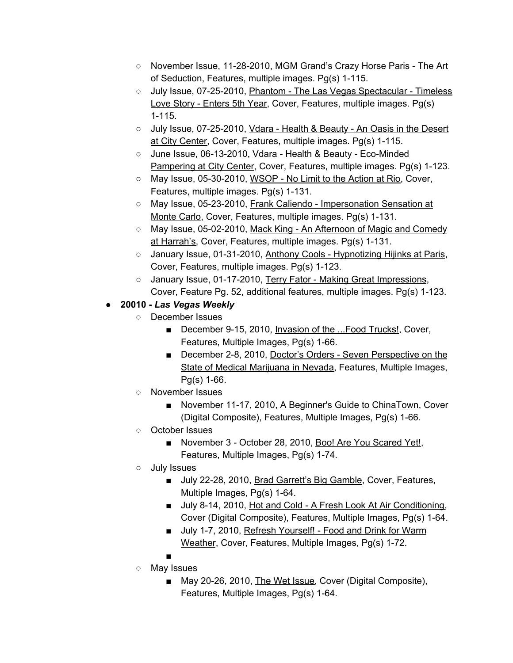- November Issue, 11-28-2010, MGM Grand's Crazy Horse Paris The Art of Seduction, Features, multiple images. Pg(s) 1-115.
- July Issue, 07-25-2010, Phantom The Las Vegas Spectacular Timeless Love Story - Enters 5th Year, Cover, Features, multiple images. Pg(s) 1-115.
- July Issue, 07-25-2010, Vdara Health & Beauty An Oasis in the Desert at City Center, Cover, Features, multiple images. Pg(s) 1-115.
- June Issue, 06-13-2010, Vdara Health & Beauty Eco-Minded Pampering at City Center, Cover, Features, multiple images. Pg(s) 1-123.
- May Issue, 05-30-2010, WSOP No Limit to the Action at Rio, Cover, Features, multiple images. Pg(s) 1-131.
- May Issue, 05-23-2010, Frank Caliendo Impersonation Sensation at Monte Carlo, Cover, Features, multiple images. Pg(s) 1-131.
- May Issue, 05-02-2010, Mack King An Afternoon of Magic and Comedy at Harrah's, Cover, Features, multiple images. Pg(s) 1-131.
- January Issue, 01-31-2010, Anthony Cools Hypnotizing Hijinks at Paris, Cover, Features, multiple images. Pg(s) 1-123.
- January Issue, 01-17-2010, Terry Fator Making Great Impressions, Cover, Feature Pg. 52, additional features, multiple images. Pg(s) 1-123.

# ● **20010 -** *Las Vegas Weekly*

- December Issues
	- December 9-15, 2010, Invasion of the ...Food Trucks!, Cover, Features, Multiple Images, Pg(s) 1-66.
	- December 2-8, 2010, Doctor's Orders Seven Perspective on the State of Medical Marijuana in Nevada, Features, Multiple Images, Pg(s) 1-66.
- November Issues
	- November 11-17, 2010, A Beginner's Guide to ChinaTown, Cover (Digital Composite), Features, Multiple Images, Pg(s) 1-66.
- October Issues
	- November 3 October 28, 2010, Boo! Are You Scared Yet!, Features, Multiple Images, Pg(s) 1-74.
- July Issues
	- July 22-28, 2010, Brad Garrett's Big Gamble, Cover, Features, Multiple Images, Pg(s) 1-64.
	- July 8-14, 2010, Hot and Cold A Fresh Look At Air Conditioning, Cover (Digital Composite), Features, Multiple Images, Pg(s) 1-64.
	- July 1-7, 2010, Refresh Yourself! Food and Drink for Warm Weather, Cover, Features, Multiple Images, Pg(s) 1-72.
- ○ May Issues
	- May 20-26, 2010, The Wet Issue, Cover (Digital Composite), Features, Multiple Images, Pg(s) 1-64.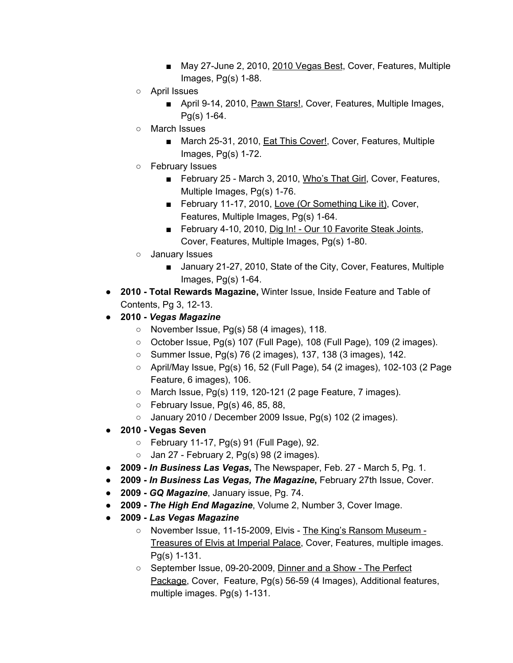- May 27-June 2, 2010, 2010 Vegas Best, Cover, Features, Multiple Images, Pg(s) 1-88.
- April Issues
	- April 9-14, 2010, Pawn Stars!, Cover, Features, Multiple Images, Pg(s) 1-64.
- March Issues
	- March 25-31, 2010, Eat This Cover!, Cover, Features, Multiple Images, Pg(s) 1-72.
- February Issues
	- February 25 March 3, 2010, Who's That Girl, Cover, Features, Multiple Images, Pg(s) 1-76.
	- February 11-17, 2010, Love (Or Something Like it), Cover, Features, Multiple Images, Pg(s) 1-64.
	- February 4-10, 2010, Dig In! Our 10 Favorite Steak Joints, Cover, Features, Multiple Images, Pg(s) 1-80.
- January Issues
	- January 21-27, 2010, State of the City, Cover, Features, Multiple Images, Pg(s) 1-64.
- **2010 - Total Rewards Magazine,** Winter Issue, Inside Feature and Table of Contents, Pg 3, 12-13.
- **2010 -** *Vegas Magazine*
	- $\circ$  November Issue, Pg(s) 58 (4 images), 118.
	- October Issue, Pg(s) 107 (Full Page), 108 (Full Page), 109 (2 images).
	- Summer Issue, Pg(s) 76 (2 images), 137, 138 (3 images), 142.
	- $\circ$  April/May Issue, Pg(s) 16, 52 (Full Page), 54 (2 images), 102-103 (2 Page Feature, 6 images), 106.
	- $\circ$  March Issue, Pg(s) 119, 120-121 (2 page Feature, 7 images).
	- $\circ$  February Issue, Pg(s) 46, 85, 88,
	- $\circ$  January 2010 / December 2009 Issue, Pg(s) 102 (2 images).
- **2010 - Vegas Seven**
	- February 11-17, Pg(s) 91 (Full Page), 92.
	- $\circ$  Jan 27 February 2, Pg(s) 98 (2 images).
- **● 2009 -** *In Business Las Vegas***,** The Newspaper, Feb. 27 March 5, Pg. 1.
- **2009 -** *In Business Las Vegas, The Magazine***,** February 27th Issue, Cover.
- **2009 -** *GQ Magazine*, January issue, Pg. 74.
- **2009 -** *The High End Magazine*, Volume 2, Number 3, Cover Image.
- **2009 -** *Las Vegas Magazine*
	- November Issue, 11-15-2009, Elvis The King's Ransom Museum Treasures of Elvis at Imperial Palace, Cover, Features, multiple images. Pg(s) 1-131.
	- September Issue, 09-20-2009, Dinner and a Show The Perfect Package, Cover, Feature, Pg(s) 56-59 (4 Images), Additional features, multiple images. Pg(s) 1-131.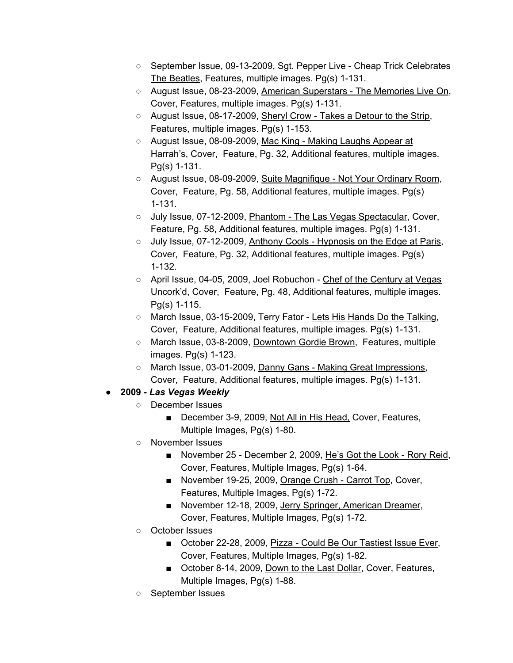- September Issue, 09-13-2009, Sgt. Pepper Live Cheap Trick Celebrates The Beatles, Features, multiple images. Pg(s) 1-131.
- August Issue, 08-23-2009, American Superstars The Memories Live On, Cover, Features, multiple images. Pg(s) 1-131.
- August Issue, 08-17-2009, Sheryl Crow Takes a Detour to the Strip, Features, multiple images. Pg(s) 1-153.
- August Issue, 08-09-2009, Mac King Making Laughs Appear at Harrah's, Cover, Feature, Pg. 32, Additional features, multiple images. Pg(s) 1-131.
- August Issue, 08-09-2009, Suite Magnifique Not Your Ordinary Room, Cover, Feature, Pg. 58, Additional features, multiple images. Pg(s) 1-131.
- o July Issue, 07-12-2009, Phantom The Las Vegas Spectacular, Cover, Feature, Pg. 58, Additional features, multiple images. Pg(s) 1-131.
- o July Issue, 07-12-2009, Anthony Cools Hypnosis on the Edge at Paris, Cover, Feature, Pg. 32, Additional features, multiple images. Pg(s) 1-132.
- April Issue, 04-05, 2009, Joel Robuchon Chef of the Century at Vegas Uncork'd, Cover, Feature, Pg. 48, Additional features, multiple images. Pg(s) 1-115.
- March Issue, 03-15-2009, Terry Fator Lets His Hands Do the Talking, Cover, Feature, Additional features, multiple images. Pg(s) 1-131.
- March Issue, 03-8-2009, Downtown Gordie Brown, Features, multiple images. Pg(s) 1-123.
- March Issue, 03-01-2009, Danny Gans Making Great Impressions, Cover, Feature, Additional features, multiple images. Pg(s) 1-131.
- **2009 -** *Las Vegas Weekly*
	- December Issues
		- December 3-9, 2009, Not All in His Head, Cover, Features, Multiple Images, Pg(s) 1-80.
	- November Issues
		- November 25 December 2, 2009, He's Got the Look Rory Reid, Cover, Features, Multiple Images, Pg(s) 1-64.
		- November 19-25, 2009, Orange Crush Carrot Top, Cover, Features, Multiple Images, Pg(s) 1-72.
		- November 12-18, 2009, Jerry Springer, American Dreamer, Cover, Features, Multiple Images, Pg(s) 1-72.
	- October Issues
		- October 22-28, 2009, Pizza Could Be Our Tastiest Issue Ever, Cover, Features, Multiple Images, Pg(s) 1-82.
		- October 8-14, 2009, Down to the Last Dollar, Cover, Features, Multiple Images, Pg(s) 1-88.
	- September Issues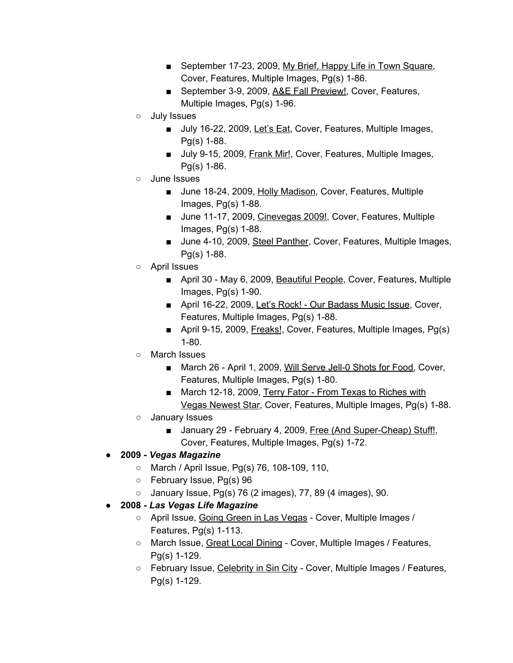- September 17-23, 2009, My Brief, Happy Life in Town Square, Cover, Features, Multiple Images, Pg(s) 1-86.
- September 3-9, 2009, A&E Fall Preview!, Cover, Features, Multiple Images, Pg(s) 1-96.
- July Issues
	- July 16-22, 2009, Let's Eat, Cover, Features, Multiple Images, Pg(s) 1-88.
	- July 9-15, 2009, Frank Mir!, Cover, Features, Multiple Images, Pg(s) 1-86.
- June Issues
	- June 18-24, 2009, Holly Madison, Cover, Features, Multiple Images, Pg(s) 1-88.
	- June 11-17, 2009, Cinevegas 2009!, Cover, Features, Multiple Images, Pg(s) 1-88.
	- June 4-10, 2009, Steel Panther, Cover, Features, Multiple Images, Pg(s) 1-88.
- April Issues
	- April 30 May 6, 2009, Beautiful People, Cover, Features, Multiple Images, Pg(s) 1-90.
	- April 16-22, 2009, Let's Rock! Our Badass Music Issue, Cover, Features, Multiple Images, Pg(s) 1-88.
	- April 9-15, 2009, Freaks!, Cover, Features, Multiple Images, Pg(s) 1-80.
- March Issues
	- March 26 April 1, 2009, Will Serve Jell-0 Shots for Food, Cover, Features, Multiple Images, Pg(s) 1-80.
	- March 12-18, 2009, Terry Fator From Texas to Riches with Vegas Newest Star, Cover, Features, Multiple Images, Pg(s) 1-88.
- January Issues
	- January 29 February 4, 2009, Free (And Super-Cheap) Stuff!, Cover, Features, Multiple Images, Pg(s) 1-72.
- **2009 -** *Vegas Magazine*
	- March / April Issue, Pg(s) 76, 108-109, 110,
	- February Issue, Pg(s) 96
	- $\circ$  January Issue, Pg(s) 76 (2 images), 77, 89 (4 images), 90.
- **2008 -** *Las Vegas Life Magazine*
	- April Issue, Going Green in Las Vegas Cover, Multiple Images / Features, Pg(s) 1-113.
	- March Issue, Great Local Dining Cover, Multiple Images / Features, Pg(s) 1-129.
	- February Issue, Celebrity in Sin City Cover, Multiple Images / Features, Pg(s) 1-129.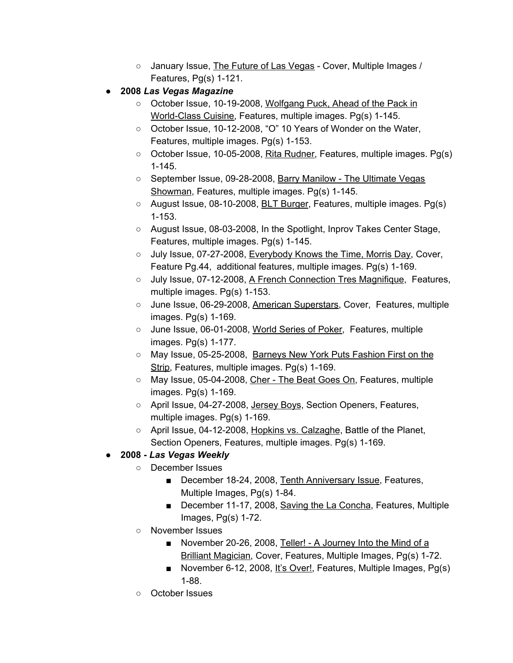- January Issue, The Future of Las Vegas Cover, Multiple Images / Features, Pg(s) 1-121.
- **2008** *Las Vegas Magazine*
	- October Issue, 10-19-2008, Wolfgang Puck, Ahead of the Pack in World-Class Cuisine, Features, multiple images. Pg(s) 1-145.
	- October Issue, 10-12-2008, "O" 10 Years of Wonder on the Water, Features, multiple images. Pg(s) 1-153.
	- October Issue, 10-05-2008, Rita Rudner, Features, multiple images. Pg(s) 1-145.
	- September Issue, 09-28-2008, Barry Manilow The Ultimate Vegas Showman, Features, multiple images. Pg(s) 1-145.
	- August Issue, 08-10-2008, BLT Burger, Features, multiple images. Pg(s) 1-153.
	- August Issue, 08-03-2008, In the Spotlight, Inprov Takes Center Stage, Features, multiple images. Pg(s) 1-145.
	- July Issue, 07-27-2008, Everybody Knows the Time, Morris Day, Cover, Feature Pg.44, additional features, multiple images. Pg(s) 1-169.
	- July Issue, 07-12-2008, A French Connection Tres Magnifique, Features, multiple images. Pg(s) 1-153.
	- June Issue, 06-29-2008, American Superstars, Cover, Features, multiple images. Pg(s) 1-169.
	- June Issue, 06-01-2008, World Series of Poker, Features, multiple images. Pg(s) 1-177.
	- May Issue, 05-25-2008, Barneys New York Puts Fashion First on the Strip, Features, multiple images. Pg(s) 1-169.
	- May Issue, 05-04-2008, Cher The Beat Goes On, Features, multiple images. Pg(s) 1-169.
	- April Issue, 04-27-2008, Jersey Boys, Section Openers, Features, multiple images. Pg(s) 1-169.
	- April Issue, 04-12-2008, Hopkins vs. Calzaghe, Battle of the Planet, Section Openers, Features, multiple images. Pg(s) 1-169.

## ● **2008 -** *Las Vegas Weekly*

- December Issues
	- December 18-24, 2008, Tenth Anniversary Issue, Features, Multiple Images, Pg(s) 1-84.
	- December 11-17, 2008, Saving the La Concha, Features, Multiple Images, Pg(s) 1-72.
- November Issues
	- November 20-26, 2008, Teller! A Journey Into the Mind of a Brilliant Magician, Cover, Features, Multiple Images, Pg(s) 1-72.
	- November 6-12, 2008, It's Over!, Features, Multiple Images, Pg(s) 1-88.
- October Issues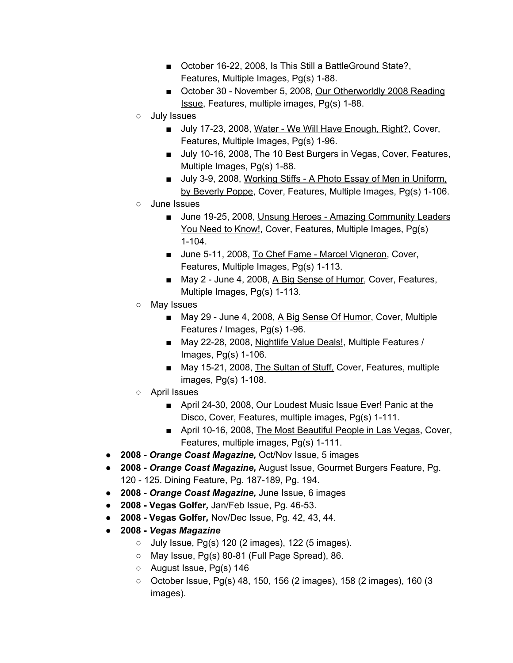- October 16-22, 2008, Is This Still a BattleGround State?, Features, Multiple Images, Pg(s) 1-88.
- October 30 November 5, 2008, Our Otherworldly 2008 Reading Issue, Features, multiple images, Pg(s) 1-88.
- July Issues
	- July 17-23, 2008, Water We Will Have Enough, Right?, Cover, Features, Multiple Images, Pg(s) 1-96.
	- July 10-16, 2008, The 10 Best Burgers in Vegas, Cover, Features, Multiple Images, Pg(s) 1-88.
	- July 3-9, 2008, Working Stiffs A Photo Essay of Men in Uniform, by Beverly Poppe, Cover, Features, Multiple Images, Pg(s) 1-106.
- June Issues
	- June 19-25, 2008, Unsung Heroes Amazing Community Leaders You Need to Know!, Cover, Features, Multiple Images, Pg(s) 1-104.
	- June 5-11, 2008, To Chef Fame Marcel Vigneron, Cover, Features, Multiple Images, Pg(s) 1-113.
	- May 2 June 4, 2008, A Big Sense of Humor, Cover, Features, Multiple Images, Pg(s) 1-113.
- May Issues
	- May 29 June 4, 2008, A Big Sense Of Humor, Cover, Multiple Features / Images, Pg(s) 1-96.
	- May 22-28, 2008, Nightlife Value Deals!, Multiple Features / Images, Pg(s) 1-106.
	- May 15-21, 2008, The Sultan of Stuff, Cover, Features, multiple images, Pg(s) 1-108.
- April Issues
	- April 24-30, 2008, Our Loudest Music Issue Ever! Panic at the Disco, Cover, Features, multiple images, Pg(s) 1-111.
	- April 10-16, 2008, The Most Beautiful People in Las Vegas, Cover, Features, multiple images, Pg(s) 1-111.
- **2008 -** *Orange Coast Magazine,* Oct/Nov Issue, 5 images
- **2008 -** *Orange Coast Magazine,* August Issue, Gourmet Burgers Feature, Pg. 120 - 125. Dining Feature, Pg. 187-189, Pg. 194.
- **2008 -** *Orange Coast Magazine,* June Issue, 6 images
- **2008 - Vegas Golfer***,* Jan/Feb Issue, Pg. 46-53.
- **2008 - Vegas Golfer***,* Nov/Dec Issue, Pg. 42, 43, 44.
- **2008 -** *Vegas Magazine*
	- $\circ$  July Issue, Pg(s) 120 (2 images), 122 (5 images).
	- $\circ$  May Issue, Pg(s) 80-81 (Full Page Spread), 86.
	- August Issue, Pg(s) 146
	- October Issue, Pg(s) 48, 150, 156 (2 images), 158 (2 images), 160 (3 images).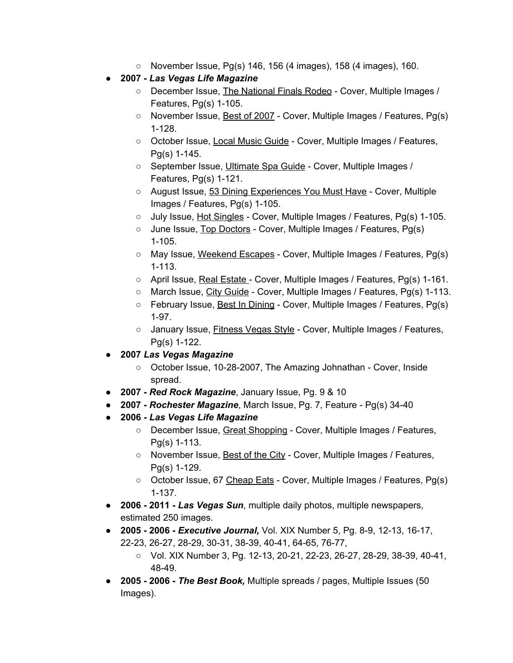- $\circ$  November Issue, Pg(s) 146, 156 (4 images), 158 (4 images), 160.
- **2007 -** *Las Vegas Life Magazine*
	- December Issue, The National Finals Rodeo Cover, Multiple Images / Features, Pg(s) 1-105.
	- November Issue, Best of 2007 Cover, Multiple Images / Features, Pg(s) 1-128.
	- October Issue, Local Music Guide Cover, Multiple Images / Features, Pg(s) 1-145.
	- September Issue, Ultimate Spa Guide Cover, Multiple Images / Features, Pg(s) 1-121.
	- August Issue, 53 Dining Experiences You Must Have Cover, Multiple Images / Features, Pg(s) 1-105.
	- July Issue, Hot Singles Cover, Multiple Images / Features, Pg(s) 1-105.
	- June Issue, Top Doctors Cover, Multiple Images / Features, Pg(s) 1-105.
	- May Issue, Weekend Escapes Cover, Multiple Images / Features, Pg(s) 1-113.
	- April Issue, Real Estate Cover, Multiple Images / Features, Pg(s) 1-161.
	- March Issue, City Guide Cover, Multiple Images / Features, Pg(s) 1-113.
	- February Issue, Best In Dining Cover, Multiple Images / Features, Pg(s) 1-97.
	- January Issue, Fitness Vegas Style Cover, Multiple Images / Features, Pg(s) 1-122.
- **2007** *Las Vegas Magazine*
	- October Issue, 10-28-2007, The Amazing Johnathan Cover, Inside spread.
- **● 2007 -** *Red Rock Magazine*, January Issue, Pg. 9 & 10
- **2007 -** *Rochester Magazine*, March Issue, Pg. 7, Feature Pg(s) 34-40
- **2006 -** *Las Vegas Life Magazine*
	- December Issue, Great Shopping Cover, Multiple Images / Features, Pg(s) 1-113.
	- November Issue, Best of the City Cover, Multiple Images / Features, Pg(s) 1-129.
	- October Issue, 67 Cheap Eats Cover, Multiple Images / Features, Pg(s) 1-137.
- **2006 - 2011 -** *Las Vegas Sun*, multiple daily photos, multiple newspapers, estimated 250 images.
- **● 2005 - 2006 -** *Executive Journal,* Vol. XIX Number 5, Pg. 8-9, 12-13, 16-17, 22-23, 26-27, 28-29, 30-31, 38-39, 40-41, 64-65, 76-77,
	- Vol. XIX Number 3, Pg. 12-13, 20-21, 22-23, 26-27, 28-29, 38-39, 40-41, 48-49.
- **● 2005 - 2006 -** *The Best Book,* Multiple spreads / pages, Multiple Issues (50 Images).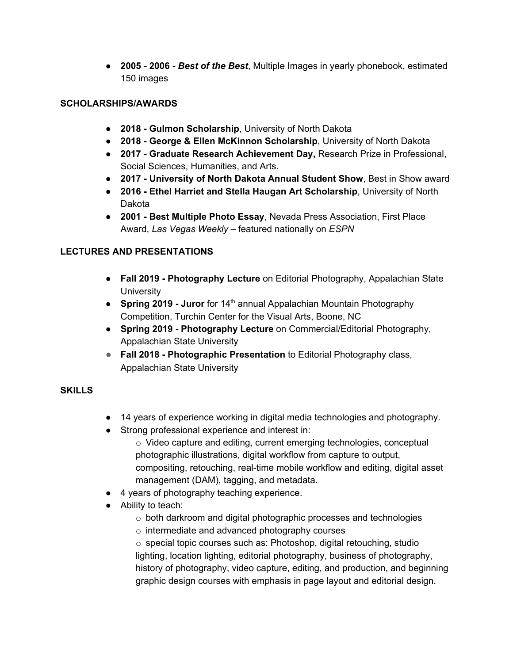**● 2005 - 2006 -** *Best of the Best*, Multiple Images in yearly phonebook, estimated 150 images

### **SCHOLARSHIPS/AWARDS**

- **2018 - Gulmon Scholarship**, University of North Dakota
- **2018 - George & Ellen McKinnon Scholarship**, University of North Dakota
- **2017 - Graduate Research Achievement Day,** Research Prize in Professional, Social Sciences, Humanities, and Arts.
- **2017 - University of North Dakota Annual Student Show**, Best in Show award
- **2016 - Ethel Harriet and Stella Haugan Art Scholarship**, University of North Dakota
- **2001 - Best Multiple Photo Essay**, Nevada Press Association, First Place Award, *Las Vegas Weekly* – featured nationally on *ESPN*

## **LECTURES AND PRESENTATIONS**

- **Fall 2019 - Photography Lecture** on Editorial Photography, Appalachian State **University**
- **Spring 2019 - Juror** for 14 th annual Appalachian Mountain Photography Competition, Turchin Center for the Visual Arts, Boone, NC
- **Spring 2019 - Photography Lecture** on Commercial/Editorial Photography, Appalachian State University
- **Fall 2018 - Photographic Presentation** to Editorial Photography class, Appalachian State University

### **SKILLS**

- 14 years of experience working in digital media technologies and photography.
- Strong professional experience and interest in:
	- o Video capture and editing, current emerging technologies, conceptual photographic illustrations, digital workflow from capture to output, compositing, retouching, real-time mobile workflow and editing, digital asset management (DAM), tagging, and metadata.
- 4 years of photography teaching experience.
- Ability to teach:
	- o both darkroom and digital photographic processes and technologies
	- o intermediate and advanced photography courses

o special topic courses such as: Photoshop, digital retouching, studio lighting, location lighting, editorial photography, business of photography, history of photography, video capture, editing, and production, and beginning graphic design courses with emphasis in page layout and editorial design.